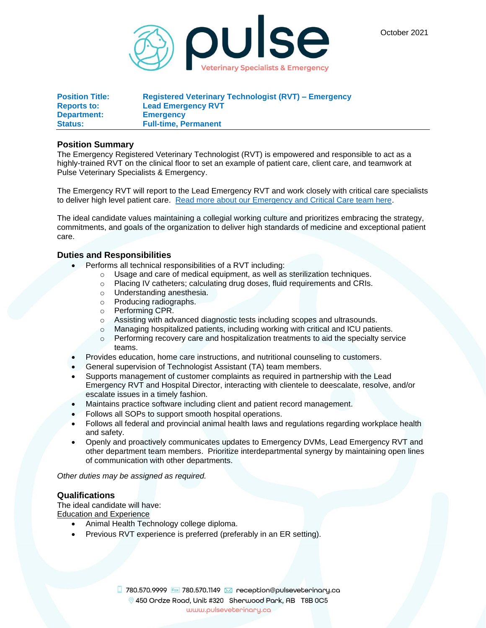October 2021



| <b>Position Title:</b> | <b>Registered Veterinary Technologist (RVT) - Emergency</b> |
|------------------------|-------------------------------------------------------------|
| <b>Reports to:</b>     | <b>Lead Emergency RVT</b>                                   |
| Department:            | <b>Emergency</b>                                            |
| <b>Status:</b>         | <b>Full-time, Permanent</b>                                 |

## **Position Summary**

The Emergency Registered Veterinary Technologist (RVT) is empowered and responsible to act as a highly-trained RVT on the clinical floor to set an example of patient care, client care, and teamwork at Pulse Veterinary Specialists & Emergency.

The Emergency RVT will report to the Lead Emergency RVT and work closely with critical care specialists to deliver high level patient care. [Read more about our Emergency and Critical Care team here.](https://pulseveterinary.ca/edmonton-animal-hospital/emergency-and-critical-care/)

The ideal candidate values maintaining a collegial working culture and prioritizes embracing the strategy, commitments, and goals of the organization to deliver high standards of medicine and exceptional patient care.

## **Duties and Responsibilities**

- Performs all technical responsibilities of a RVT including:
	- o Usage and care of medical equipment, as well as sterilization techniques.
	- o Placing IV catheters; calculating drug doses, fluid requirements and CRIs.
	- o Understanding anesthesia.
	- o Producing radiographs.
	- o Performing CPR.
	- $\circ$  Assisting with advanced diagnostic tests including scopes and ultrasounds.
	- o Managing hospitalized patients, including working with critical and ICU patients.
	- $\circ$  Performing recovery care and hospitalization treatments to aid the specialty service teams.
- Provides education, home care instructions, and nutritional counseling to customers.
- General supervision of Technologist Assistant (TA) team members.
- Supports management of customer complaints as required in partnership with the Lead Emergency RVT and Hospital Director, interacting with clientele to deescalate, resolve, and/or escalate issues in a timely fashion.
- Maintains practice software including client and patient record management.
- Follows all SOPs to support smooth hospital operations.
- Follows all federal and provincial animal health laws and regulations regarding workplace health and safety.
- Openly and proactively communicates updates to Emergency DVMs, Lead Emergency RVT and other department team members. Prioritize interdepartmental synergy by maintaining open lines of communication with other departments.

*Other duties may be assigned as required.*

## **Qualifications**

The ideal candidate will have: Education and Experience

- Animal Health Technology college diploma.
- Previous RVT experience is preferred (preferably in an ER setting).

 $\Box$  780.570.9999 Fox 780.570.1149  $\boxtimes$  reception@pulseveterinary.ca 9 450 Ordze Road, Unit #320 Sherwood Park, AB T8B 0C5 www.pulseveterinary.ca